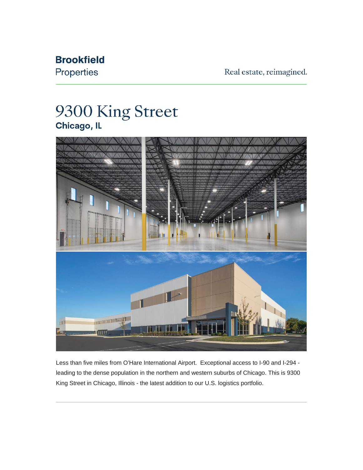## **Brookfield**

Properties

Real estate, reimagined.

## 9300 King Street Chicago, IL



Less than five miles from O'Hare International Airport. Exceptional access to I-90 and I-294 leading to the dense population in the northern and western suburbs of Chicago. This is 9300 King Street in Chicago, Illinois - the latest addition to our U.S. logistics portfolio.